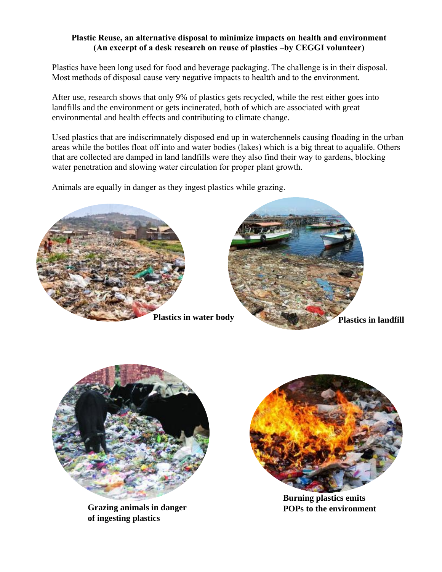# **Plastic Reuse, an alternative disposal to minimize impacts on health and environment (An excerpt of a desk research on reuse of plastics –by CEGGI volunteer)**

Plastics have been long used for food and beverage packaging. The challenge is in their disposal. Most methods of disposal cause very negative impacts to healtth and to the environment.

After use, research shows that only 9% of plastics gets recycled, while the rest either goes into landfills and the environment or gets incinerated, both of which are associated with great environmental and health effects and contributing to climate change.

Used plastics that are indiscrimnately disposed end up in waterchennels causing floading in the urban areas while the bottles float off into and water bodies (lakes) which is a big threat to aqualife. Others that are collected are damped in land landfills were they also find their way to gardens, blocking water penetration and slowing water circulation for proper plant growth.

Animals are equally in danger as they ingest plastics while grazing.





**Grazing animals in danger POPs to the environment of ingesting plastics** 



**Burning plastics emits**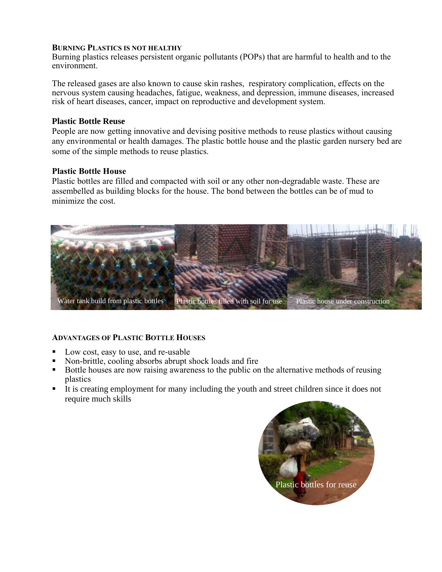### **BURNING PLASTICS IS NOT HEALTHY**

Burning plastics releases persistent organic pollutants (POPs) that are harmful to health and to the environment.

The released gases are also known to cause skin rashes, respiratory complication, effects on the nervous system causing headaches, fatigue, weakness, and depression, immune diseases, increased risk of heart diseases, cancer, impact on reproductive and development system.

### **Plastic Bottle Reuse**

People are now getting innovative and devising positive methods to reuse plastics without causing any environmental or health damages. The plastic bottle house and the plastic garden nursery bed are some of the simple methods to reuse plastics.

#### **Plastic Bottle House**

Plastic bottles are filled and compacted with soil or any other non-degradable waste. These are assembelled as building blocks for the house. The bond between the bottles can be of mud to minimize the cost.



## **ADVANTAGES OF PLASTIC BOTTLE HOUSES**

- Low cost, easy to use, and re-usable
- Non-brittle, cooling absorbs abrupt shock loads and fire
- Bottle houses are now raising awareness to the public on the alternative methods of reusing plastics
- It is creating employment for many including the youth and street children since it does not require much skills